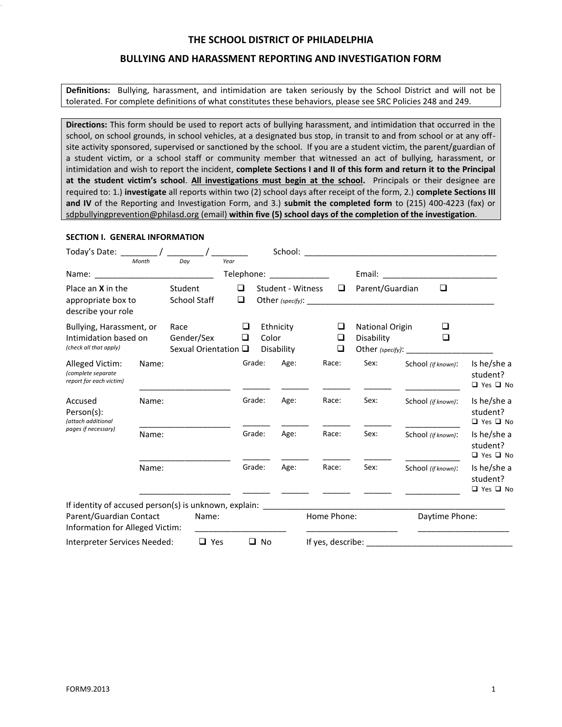#### **BULLYING AND HARASSMENT REPORTING AND INVESTIGATION FORM**

**Definitions:** Bullying, harassment, and intimidation are taken seriously by the School District and will not be tolerated. For complete definitions of what constitutes these behaviors, please see SRC Policies 248 and 249.

**Directions:** This form should be used to report acts of bullying harassment, and intimidation that occurred in the school, on school grounds, in school vehicles, at a designated bus stop, in transit to and from school or at any offsite activity sponsored, supervised or sanctioned by the school. If you are a student victim, the parent/guardian of a student victim, or a school staff or community member that witnessed an act of bullying, harassment, or intimidation and wish to report the incident, **complete Sections I and II of this form and return it to the Principal at the student victim's school**. **All investigations must begin at the school.** Principals or their designee are required to: 1.) **investigate** all reports within two (2) school days after receipt of the form, 2.) **complete Sections III and IV** of the Reporting and Investigation Form, and 3.) **submit the completed form** to (215) 400-4223 (fax) or [sdpbullyingprevention@philasd.org](mailto:sdpbullyingprevention@philasd.org) (email) **within five (5) school days of the completion of the investigation**.

#### **SECTION I. GENERAL INFORMATION**

| Today's Date: Today's Date:                                                                                                                    |       |                                                    |              |        |                         |                            |                                     |                    |                    |                                       |
|------------------------------------------------------------------------------------------------------------------------------------------------|-------|----------------------------------------------------|--------------|--------|-------------------------|----------------------------|-------------------------------------|--------------------|--------------------|---------------------------------------|
|                                                                                                                                                | Month | Dav                                                | Year         |        |                         | Telephone: _______________ |                                     |                    |                    |                                       |
| Place an $X$ in the<br>appropriate box to<br>describe your role                                                                                |       | Student<br><b>School Staff</b>                     | ❏<br>$\Box$  |        | Student - Witness       | □                          | Parent/Guardian<br>Other (specify): |                    | □                  |                                       |
| Bullying, Harassment, or<br>Intimidation based on<br>(check all that apply)                                                                    |       | Race<br>Gender/Sex<br>Sexual Orientation $\square$ | □<br>□       | Color  | Ethnicity<br>Disability | □<br>$\Box$<br>□           | National Origin<br>Disability       |                    | ⊔<br>□             |                                       |
| Alleged Victim:<br>(complete separate<br>report for each victim)                                                                               | Name: |                                                    |              | Grade: | Age:                    | Race:                      | Sex:                                |                    | School (if known): | Is he/she a<br>student?<br>□ Yes □ No |
| Accused<br>Person(s):<br>(attach additional                                                                                                    | Name: |                                                    |              | Grade: | Age:                    | Race:                      | Sex:                                |                    | School (if known): | Is he/she a<br>student?<br>□ Yes □ No |
| pages if necessary)                                                                                                                            | Name: |                                                    |              | Grade: | Age:                    | Race:                      | Sex:                                | School (if known): |                    | Is he/she a<br>student?<br>□ Yes □ No |
|                                                                                                                                                | Name: |                                                    |              | Grade: | Age:                    | Race:                      | Sex:                                |                    | School (if known): | Is he/she a<br>student?<br>□ Yes □ No |
| If identity of accused person(s) is unknown, explain: __________________________<br>Parent/Guardian Contact<br>Information for Alleged Victim: |       | Name:                                              |              |        |                         | Home Phone:                |                                     |                    | Daytime Phone:     |                                       |
| $\Box$ Yes<br>Interpreter Services Needed:                                                                                                     |       |                                                    | $\square$ No |        |                         |                            |                                     |                    |                    |                                       |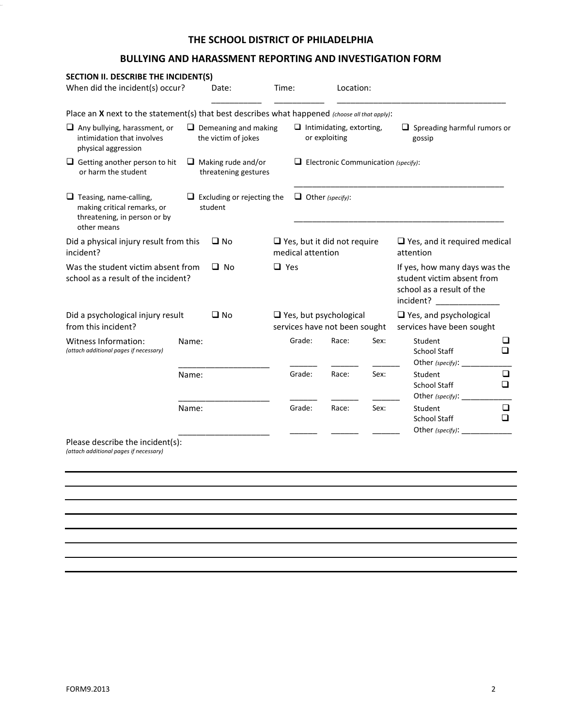## **BULLYING AND HARASSMENT REPORTING AND INVESTIGATION FORM**

| SECTION II. DESCRIBE THE INCIDENT(S)                                                                                                           |                                              |            |                                                         |                                                                |      |                                                                                                       |             |  |
|------------------------------------------------------------------------------------------------------------------------------------------------|----------------------------------------------|------------|---------------------------------------------------------|----------------------------------------------------------------|------|-------------------------------------------------------------------------------------------------------|-------------|--|
| When did the incident(s) occur?<br>Date:                                                                                                       |                                              | Time:      |                                                         | Location:                                                      |      |                                                                                                       |             |  |
| Place an X next to the statement(s) that best describes what happened (choose all that apply):                                                 |                                              |            |                                                         |                                                                |      |                                                                                                       |             |  |
| $\Box$ Any bullying, harassment, or<br>$\Box$ Demeaning and making<br>intimidation that involves<br>the victim of jokes<br>physical aggression |                                              |            | $\Box$ Intimidating, extorting,<br>or exploiting        |                                                                |      | $\Box$ Spreading harmful rumors or<br>gossip                                                          |             |  |
| $\Box$ Getting another person to hit<br>$\Box$ Making rude and/or<br>or harm the student<br>threatening gestures                               |                                              |            | $\Box$ Electronic Communication (specify):              |                                                                |      |                                                                                                       |             |  |
| $\Box$ Teasing, name-calling,<br>making critical remarks, or<br>threatening, in person or by<br>other means                                    | $\Box$ Excluding or rejecting the<br>student |            | $\Box$ Other (specify):                                 |                                                                |      |                                                                                                       |             |  |
| Did a physical injury result from this<br>$\square$ No<br>incident?                                                                            |                                              |            | $\Box$ Yes, but it did not require<br>medical attention |                                                                |      | $\Box$ Yes, and it required medical<br>attention                                                      |             |  |
| Was the student victim absent from<br>school as a result of the incident?                                                                      | $\Box$ No                                    | $\Box$ Yes |                                                         |                                                                |      | If yes, how many days was the<br>student victim absent from<br>school as a result of the<br>incident? |             |  |
| Did a psychological injury result<br>from this incident?                                                                                       | $\square$ No                                 |            |                                                         | $\Box$ Yes, but psychological<br>services have not been sought |      | $\Box$ Yes, and psychological<br>services have been sought                                            |             |  |
| Witness Information:<br>(attach additional pages if necessary)                                                                                 | Name:                                        |            | Grade:                                                  | Race:                                                          | Sex: | Student<br><b>School Staff</b><br>Other (specify): $\Box$                                             | ❏<br>$\Box$ |  |
|                                                                                                                                                | Name:                                        |            | Grade:                                                  | Race:                                                          | Sex: | Student<br><b>School Staff</b><br>Other (specify): $\_\_$                                             | ❏<br>❏      |  |
|                                                                                                                                                | Name:                                        |            | Grade:                                                  | Race:                                                          | Sex: | Student<br>School Staff<br>Other (specify): $\Box$                                                    | ❏<br>◻      |  |
| Please describe the incident(s):<br>(attach additional pages if necessary)                                                                     |                                              |            |                                                         |                                                                |      |                                                                                                       |             |  |
|                                                                                                                                                |                                              |            |                                                         |                                                                |      |                                                                                                       |             |  |
|                                                                                                                                                |                                              |            |                                                         |                                                                |      |                                                                                                       |             |  |
|                                                                                                                                                |                                              |            |                                                         |                                                                |      |                                                                                                       |             |  |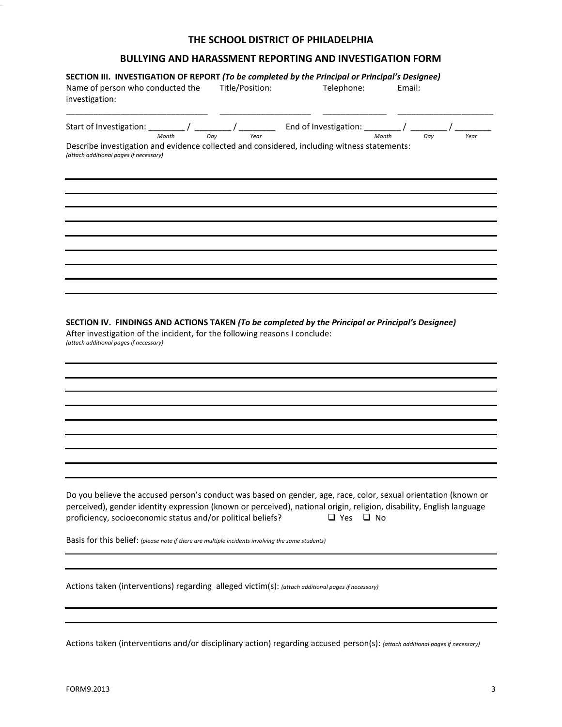# **BULLYING AND HARASSMENT REPORTING AND INVESTIGATION FORM**

| SECTION III. INVESTIGATION OF REPORT (To be completed by the Principal or Principal's Designee)<br>Name of person who conducted the<br>investigation:                                                                                                                                                  | Title/Position: | Telephone: | Email:    |  |
|--------------------------------------------------------------------------------------------------------------------------------------------------------------------------------------------------------------------------------------------------------------------------------------------------------|-----------------|------------|-----------|--|
| Start of Investigation: $\frac{1}{\frac{M_{\text{orbit}}}{\sqrt{R_{\text{out}}}}}$ / $\frac{1}{\frac{N_{\text{corr}}}{\sqrt{R_{\text{out}}}}}$ End of Investigation: $\frac{1}{\frac{M_{\text{orbit}}}{\sqrt{R_{\text{out}}}}}$ / $\frac{1}{\frac{N_{\text{corr}}}{\sqrt{R_{\text{out}}}}}$            |                 |            |           |  |
| Describe investigation and evidence collected and considered, including witness statements:<br>(attach additional pages if necessary)                                                                                                                                                                  |                 |            |           |  |
|                                                                                                                                                                                                                                                                                                        |                 |            |           |  |
|                                                                                                                                                                                                                                                                                                        |                 |            |           |  |
|                                                                                                                                                                                                                                                                                                        |                 |            |           |  |
| SECTION IV. FINDINGS AND ACTIONS TAKEN (To be completed by the Principal or Principal's Designee)<br>After investigation of the incident, for the following reasons I conclude:<br>(attach additional pages if necessary)                                                                              |                 |            |           |  |
|                                                                                                                                                                                                                                                                                                        |                 |            |           |  |
|                                                                                                                                                                                                                                                                                                        |                 |            |           |  |
| Do you believe the accused person's conduct was based on gender, age, race, color, sexual orientation (known or<br>perceived), gender identity expression (known or perceived), national origin, religion, disability, English language<br>proficiency, socioeconomic status and/or political beliefs? |                 | $\Box$ Yes | $\Box$ No |  |
| Basis for this belief: (please note if there are multiple incidents involving the same students)                                                                                                                                                                                                       |                 |            |           |  |
| Actions taken (interventions) regarding alleged victim(s): (attach additional pages if necessary)                                                                                                                                                                                                      |                 |            |           |  |
|                                                                                                                                                                                                                                                                                                        |                 |            |           |  |

Actions taken (interventions and/or disciplinary action) regarding accused person(s): *(attach additional pages if necessary)*